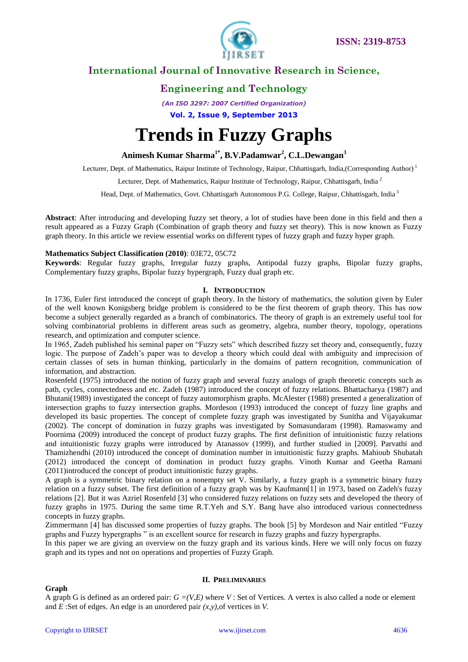



# **Engineering and Technology**

*(An ISO 3297: 2007 Certified Organization)*

**Vol. 2, Issue 9, September 2013**

# **Trends in Fuzzy Graphs**

**Animesh Kumar Sharma1\* , B.V.Padamwar<sup>2</sup> , C.L.Dewangan<sup>3</sup>**

Lecturer, Dept. of Mathematics, Raipur Institute of Technology, Raipur, Chhattisgarh, India,(Corresponding Author)<sup>1</sup>

Lecturer, Dept. of Mathematics, Raipur Institute of Technology, Raipur, Chhattisgarh, India<sup>2</sup>

Head, Dept. of Mathematics, Govt. Chhattisgarh Autonomous P.G. College, Raipur, Chhattisgarh, India <sup>3</sup>

**Abstract**: After introducing and developing fuzzy set theory, a lot of studies have been done in this field and then a result appeared as a Fuzzy Graph (Combination of graph theory and fuzzy set theory). This is now known as Fuzzy graph theory. In this article we review essential works on different types of fuzzy graph and fuzzy hyper graph.

## **Mathematics Subject Classification (2010)**: 03E72, 05C72

**Keywords**: Regular fuzzy graphs, Irregular fuzzy graphs, Antipodal fuzzy graphs, Bipolar fuzzy graphs, Complementary fuzzy graphs, Bipolar fuzzy hypergraph, Fuzzy dual graph etc.

## **I. INTRODUCTION**

In 1736, Euler first introduced the concept of graph theory. In the history of mathematics, the solution given by Euler of the well known Konigsberg bridge problem is considered to be the first theorem of graph theory. This has now become a subject generally regarded as a branch of combinatorics. The theory of graph is an extremely useful tool for solving combinatorial problems in different areas such as geometry, algebra, number theory, topology, operations research, and optimization and computer science.

In 1965, Zadeh published his seminal paper on "Fuzzy sets" which described fuzzy set theory and, consequently, fuzzy logic. The purpose of Zadeh's paper was to develop a theory which could deal with ambiguity and imprecision of certain classes of sets in human thinking, particularly in the domains of pattern recognition, communication of information, and abstraction.

Rosenfeld (1975) introduced the notion of fuzzy graph and several fuzzy analogs of graph theoretic concepts such as path, cycles, connectedness and etc. Zadeh (1987) introduced the concept of fuzzy relations. Bhattacharya (1987) and Bhutani(1989) investigated the concept of fuzzy automorphism graphs. McAlester (1988) presented a generalization of intersection graphs to fuzzy intersection graphs. Mordeson (1993) introduced the concept of fuzzy line graphs and developed its basic properties. The concept of complete fuzzy graph was investigated by Sunitha and Vijayakumar (2002). The concept of domination in fuzzy graphs was investigated by Somasundaram (1998). Ramaswamy and Poornima (2009) introduced the concept of product fuzzy graphs. The first definition of intuitionistic fuzzy relations and intuitionistic fuzzy graphs were introduced by Atanassov (1999), and further studied in [2009]. Parvathi and Thamizhendhi (2010) introduced the concept of domination number in intuitionistic fuzzy graphs. Mahioub Shubatah (2012) introduced the concept of domination in product fuzzy graphs. Vinoth Kumar and Geetha Ramani (2011)introduced the concept of product intuitionistic fuzzy graphs.

A graph is a symmetric binary relation on a nonempty set V. Similarly, a fuzzy graph is a symmetric binary fuzzy relation on a fuzzy subset. The first definition of a fuzzy graph was by Kaufmann[1] in 1973, based on Zadeh's fuzzy relations [2]. But it was Azriel Rosenfeld [3] who considered fuzzy relations on fuzzy sets and developed the theory of fuzzy graphs in 1975. During the same time R.T.Yeh and S.Y. Bang have also introduced various connectedness concepts in fuzzy graphs.

Zimmermann [4] has discussed some properties of fuzzy graphs. The book [5] by Mordeson and Nair entitled "Fuzzy graphs and Fuzzy hypergraphs " is an excellent source for research in fuzzy graphs and fuzzy hypergraphs.

In this paper we are giving an overview on the fuzzy graph and its various kinds. Here we will only focus on fuzzy graph and its types and not on operations and properties of Fuzzy Graph.

## **Graph**

## **II. PRELIMINARIES**

A graph G is defined as an ordered pair:  $G = (V, E)$  where V : Set of Vertices. A vertex is also called a node or element and *E* :Set of edges. An edge is an unordered pair *(x,y)*,of vertices in *V.*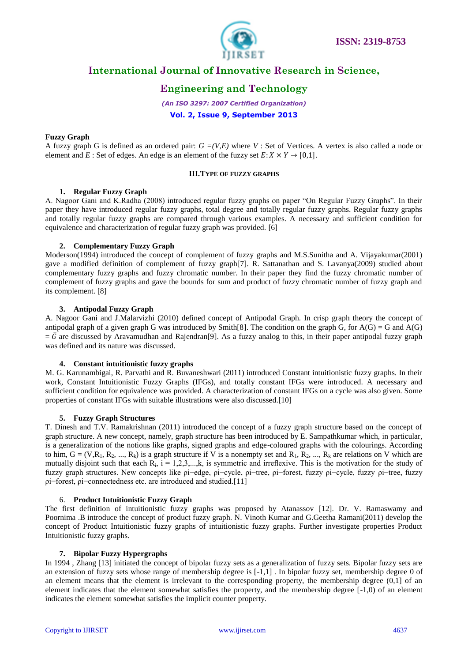

# **Engineering and Technology**

*(An ISO 3297: 2007 Certified Organization)*

**Vol. 2, Issue 9, September 2013**

## **Fuzzy Graph**

A fuzzy graph G is defined as an ordered pair: *G =(V,E)* where *V* : Set of Vertices. A vertex is also called a node or element and *E* : Set of edges. An edge is an element of the fuzzy set  $E: X \times Y \rightarrow [0,1]$ .

## **III.TYPE OF FUZZY GRAPHS**

## **1. Regular Fuzzy Graph**

A. Nagoor Gani and K.Radha (2008) introduced regular fuzzy graphs on paper "On Regular Fuzzy Graphs". In their paper they have introduced regular fuzzy graphs, total degree and totally regular fuzzy graphs. Regular fuzzy graphs and totally regular fuzzy graphs are compared through various examples. A necessary and sufficient condition for equivalence and characterization of regular fuzzy graph was provided. [6]

## **2. Complementary Fuzzy Graph**

Moderson(1994) introduced the concept of complement of fuzzy graphs and M.S.Sunitha and A. Vijayakumar(2001) gave a modified definition of complement of fuzzy graph[7]. R. Sattanathan and S. Lavanya(2009) studied about complementary fuzzy graphs and fuzzy chromatic number. In their paper they find the fuzzy chromatic number of complement of fuzzy graphs and gave the bounds for sum and product of fuzzy chromatic number of fuzzy graph and its complement. [8]

## **3. Antipodal Fuzzy Graph**

A. Nagoor Gani and J.Malarvizhi (2010) defined concept of Antipodal Graph. In crisp graph theory the concept of antipodal graph of a given graph G was introduced by Smith[8]. The condition on the graph G, for  $A(G) = G$  and  $A(G)$  $=\bar{G}$  are discussed by Aravamudhan and Rajendran<sup>[9]</sup>. As a fuzzy analog to this, in their paper antipodal fuzzy graph was defined and its nature was discussed.

## **4. Constant intuitionistic fuzzy graphs**

M. G. Karunambigai, R. Parvathi and R. Buvaneshwari (2011) introduced Constant intuitionistic fuzzy graphs. In their work, Constant Intuitionistic Fuzzy Graphs (IFGs), and totally constant IFGs were introduced. A necessary and sufficient condition for equivalence was provided. A characterization of constant IFGs on a cycle was also given. Some properties of constant IFGs with suitable illustrations were also discussed.[10]

## **5. Fuzzy Graph Structures**

T. Dinesh and T.V. Ramakrishnan (2011) introduced the concept of a fuzzy graph structure based on the concept of graph structure. A new concept, namely, graph structure has been introduced by E. Sampathkumar which, in particular, is a generalization of the notions like graphs, signed graphs and edge-coloured graphs with the colourings. According to him,  $G = (V, R_1, R_2, ..., R_k)$  is a graph structure if V is a nonempty set and  $R_1, R_2, ..., R_k$  are relations on V which are mutually disjoint such that each  $R_i$ ,  $i = 1, 2, 3, \dots, k$ , is symmetric and irreflexive. This is the motivation for the study of fuzzy graph structures. New concepts like ρi−edge, ρi−cycle, ρi−tree, ρi−forest, fuzzy ρi−cycle, fuzzy ρi−tree, fuzzy ρi−forest, ρi−connectedness etc. are introduced and studied.[11]

## 6. **Product Intuitionistic Fuzzy Graph**

The first definition of intuitionistic fuzzy graphs was proposed by Atanassov [12]. Dr. V. Ramaswamy and Poornima .B introduce the concept of product fuzzy graph. N. Vinoth Kumar and G.Geetha Ramani(2011) develop the concept of Product Intuitionistic fuzzy graphs of intuitionistic fuzzy graphs. Further investigate properties Product Intuitionistic fuzzy graphs.

## **7. Bipolar Fuzzy Hypergraphs**

In 1994 , Zhang [13] initiated the concept of bipolar fuzzy sets as a generalization of fuzzy sets. Bipolar fuzzy sets are an extension of fuzzy sets whose range of membership degree is [-1,1] . In bipolar fuzzy set, membership degree 0 of an element means that the element is irrelevant to the corresponding property, the membership degree (0,1] of an element indicates that the element somewhat satisfies the property, and the membership degree [-1,0) of an element indicates the element somewhat satisfies the implicit counter property.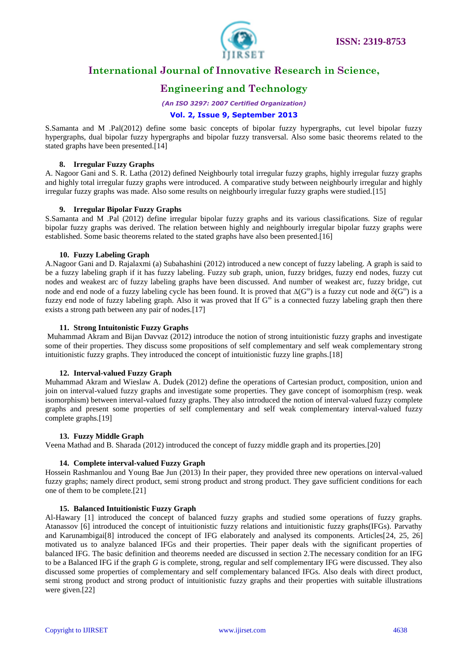

# **Engineering and Technology**

*(An ISO 3297: 2007 Certified Organization)*

## **Vol. 2, Issue 9, September 2013**

S.Samanta and M .Pal(2012) define some basic concepts of bipolar fuzzy hypergraphs, cut level bipolar fuzzy hypergraphs, dual bipolar fuzzy hypergraphs and bipolar fuzzy transversal. Also some basic theorems related to the stated graphs have been presented.<sup>[14]</sup>

## **8. Irregular Fuzzy Graphs**

A. Nagoor Gani and S. R. Latha (2012) defined Neighbourly total irregular fuzzy graphs, highly irregular fuzzy graphs and highly total irregular fuzzy graphs were introduced. A comparative study between neighbourly irregular and highly irregular fuzzy graphs was made. Also some results on neighbourly irregular fuzzy graphs were studied.[15]

## **9. Irregular Bipolar Fuzzy Graphs**

S.Samanta and M .Pal (2012) define irregular bipolar fuzzy graphs and its various classifications. Size of regular bipolar fuzzy graphs was derived. The relation between highly and neighbourly irregular bipolar fuzzy graphs were established. Some basic theorems related to the stated graphs have also been presented.[16]

## **10. Fuzzy Labeling Graph**

A.Nagoor Gani and D. Rajalaxmi (a) Subahashini (2012) introduced a new concept of fuzzy labeling. A graph is said to be a fuzzy labeling graph if it has fuzzy labeling. Fuzzy sub graph, union, fuzzy bridges, fuzzy end nodes, fuzzy cut nodes and weakest arc of fuzzy labeling graphs have been discussed. And number of weakest arc, fuzzy bridge, cut node and end node of a fuzzy labeling cycle has been found. It is proved that  $\Delta(G^{\omega})$  is a fuzzy cut node and  $\delta(G^{\omega})$  is a fuzzy end node of fuzzy labeling graph. Also it was proved that If  $G^\omega$  is a connected fuzzy labeling graph then there exists a strong path between any pair of nodes.[17]

## **11. Strong Intuitonistic Fuzzy Graphs**

Muhammad Akram and Bijan Davvaz (2012) introduce the notion of strong intuitionistic fuzzy graphs and investigate some of their properties. They discuss some propositions of self complementary and self weak complementary strong intuitionistic fuzzy graphs. They introduced the concept of intuitionistic fuzzy line graphs.[18]

## **12. Interval-valued Fuzzy Graph**

Muhammad Akram and Wieslaw A. Dudek (2012) define the operations of Cartesian product, composition, union and join on interval-valued fuzzy graphs and investigate some properties. They gave concept of isomorphism (resp. weak isomorphism) between interval-valued fuzzy graphs. They also introduced the notion of interval-valued fuzzy complete graphs and present some properties of self complementary and self weak complementary interval-valued fuzzy complete graphs.[19]

## **13. Fuzzy Middle Graph**

Veena Mathad and B. Sharada (2012) introduced the concept of fuzzy middle graph and its properties.[20]

## **14. Complete interval-valued Fuzzy Graph**

Hossein Rashmanlou and Young Bae Jun (2013) In their paper, they provided three new operations on interval-valued fuzzy graphs; namely direct product, semi strong product and strong product. They gave sufficient conditions for each one of them to be complete.[21]

## **15. Balanced Intuitionistic Fuzzy Graph**

Al-Hawary [1] introduced the concept of balanced fuzzy graphs and studied some operations of fuzzy graphs. Atanassov [6] introduced the concept of intuitionistic fuzzy relations and intuitionistic fuzzy graphs(IFGs). Parvathy and Karunambigai<sup>[8]</sup> introduced the concept of IFG elaborately and analysed its components. Articles<sup>[24, 25, 26]</sup> motivated us to analyze balanced IFGs and their properties. Their paper deals with the significant properties of balanced IFG. The basic definition and theorems needed are discussed in section 2.The necessary condition for an IFG to be a Balanced IFG if the graph *G* is complete, strong, regular and self complementary IFG were discussed. They also discussed some properties of complementary and self complementary balanced IFGs. Also deals with direct product, semi strong product and strong product of intuitionistic fuzzy graphs and their properties with suitable illustrations were given.[22]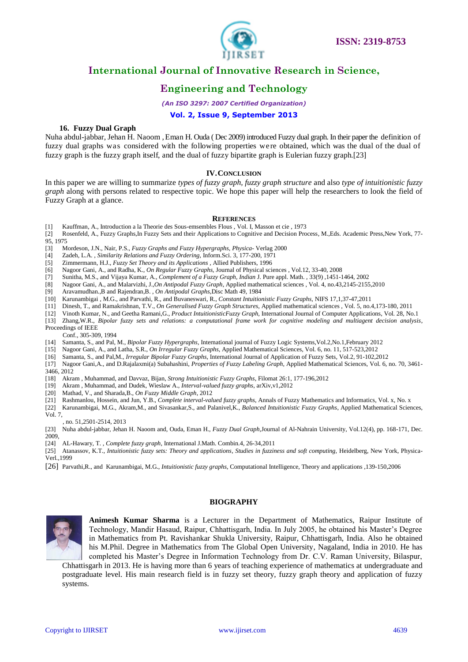

# **Engineering and Technology**

*(An ISO 3297: 2007 Certified Organization)*

## **Vol. 2, Issue 9, September 2013**

## **16. Fuzzy Dual Graph**

Nuha abdul-jabbar, Jehan H. Naoom , Eman H. Ouda ( Dec 2009) introduced Fuzzy dual graph. In their paper the definition of fuzzy dual graphs was considered with the following properties we re obtained, which was the dual of the dual of fuzzy graph is the fuzzy graph itself, and the dual of fuzzy bipartite graph is Eulerian fuzzy graph.[23]

## **IV.CONCLUSION**

In this paper we are willing to summarize *types of fuzzy graph, fuzzy graph structure* and also *type of intuitionistic fuzzy graph* along with persons related to respective topic. We hope this paper will help the researchers to look the field of Fuzzy Graph at a glance.

#### **REFERENCES**

- [1] Kauffman, A., Introduction a la Theorie des Sous-emsembles Flous , Vol. I, Masson et cie , 1973
- [2] Rosenfeld, A., Fuzzy Graphs,In Fuzzy Sets and their Applications to Cognitive and Decision Process*,* M.,Eds. Academic Press,New York, 77- 95, 1975
- [3] Mordeson, J.N., Nair, P.S., *Fuzzy Graphs and Fuzzy Hypergraphs, Physica* Verlag 2000
- 
- [4] Zadeh, L.A. , *Similarity Relations and Fuzzy Ordering,* Inform.Sci. 3, 177-200, 1971 [5] Zimmermann, H.J., *Fuzzy Set Theory and its Applications ,* Allied Publishers, 1996
- [6] Nagoor Gani, A., and Radha, K., *On Regular Fuzzy Graphs,* Journal of Physical sciences , Vol.12, 33-40, 2008
- [7] Sunitha, M.S., and Vijaya Kumar, A., *Complement of a Fuzzy Graph, Indian* J. Pure appl. Math. , 33(9) ,1451-1464, 2002
- [8] Nagoor Gani, A., and Malarvizhi, J.,*On Antipodal Fuzzy Graph*, Applied mathematical sciences , Vol. 4, no.43,2145-2155,2010
- [9] Aravamudhan.,B and Rajendran,B. , *On Antipodal Graphs,*Disc Math 49, 1984
- [10] Karunambigai , M.G., and Parvathi, R., and Buvaneswari, R., *Constant Intuitionistic Fuzzy Graphs,* NIFS 17,1,37-47,2011
- [11] Dinesh, T., and Ramakrishnan, T.V., *On Generalised Fuzzy Graph Structures,* Applied mathematical sciences , Vol. 5, no.4,173-180, 2011
- [12] Vinoth Kumar, N., and Geetha Ramani,G., *Product IntuitionisticFuzzy Graph,* International Journal of Computer Applications, Vol. 28, No.1
- [13] Zhang,W.R., *Bipolar fuzzy sets and relations: a computational frame work for cognitive modeling and multiagent decision analysis*, Proceedings of IEEE
- Conf., 305-309, 1994
- [14] Samanta, S., and Pal, M., *Bipolar Fuzzy Hypergraphs,* International journal of Fuzzy Logic Systems,Vol.2,No.1,February 2012
- [15] Nagoor Gani, A., and Latha, S.R., *On Irregular Fuzzy Graphs,* Applied Mathematical Sciences, Vol. 6, no. 11, 517-523,2012
- [16] Samanta, S., and Pal,M., *Irregular Bipolar Fuzzy Graphs*, International Journal of Application of Fuzzy Sets, Vol.2, 91-102,2012
- [17] Nagoor Gani,A., and D.Rajalaxmi(a) Subahashini, *Properties of Fuzzy Labeling Graph*, Applied Mathematical Sciences, Vol. 6, no. 70, 3461- 3466, 2012
- [18] Akram , Muhammad, and Davvaz, Bijan, *Strong Intuitionistic Fuzzy Graphs*, Filomat 26:1, 177-196,2012
- [19] Akram , Muhammad, and Dudek, Wieslaw A., *Interval-valued fuzzy graphs*, arXiv,v1,2012
- [20] Mathad, V., and Sharada,B., *On Fuzzy Middle Graph*, 2012
- [21] Rashmanlou, Hossein, and Jun, Y.B., *Complete interval-valued fuzzy graphs*, Annals of Fuzzy Mathematics and Informatics, Vol. x, No. x
- [22] Karunambigai, M.G., Akram,M., and Sivasankar,S., and Palanivel,K., *Balanced Intuitionistic Fuzzy Graphs*, Applied Mathematical Sciences, Vol. 7,

, no. 51,2501-2514, 2013

- [23] Nuha abdul-jabbar, Jehan H. Naoom and, Ouda, Eman H., *Fuzzy Dual Graph,*Journal of Al-Nahrain University, Vol.12(4), pp. 168-171, Dec. 2009,
- [24] AL-Hawary, T. , *Complete fuzzy graph*, International J.Math. Combin.4, 26-34,2011
- [25] Atanassov, K.T., *Intuitionistic fuzzy sets: Theory and applications, Studies in fuzziness and soft computing*, Heidelberg, New York, Physica-Verl.,1999
- [26] Parvathi,R., and Karunambigai, M.G., *Intuitionistic fuzzy graphs,* Computational Intelligence, Theory and applications ,139-150,2006

# **BIOGRAPHY**



**Animesh Kumar Sharma** is a Lecturer in the Department of Mathematics, Raipur Institute of Technology, Mandir Hasaud, Raipur, Chhattisgarh, India. In July 2005, he obtained his Master's Degree in Mathematics from Pt. Ravishankar Shukla University, Raipur, Chhattisgarh, India. Also he obtained his M.Phil. Degree in Mathematics from The Global Open University, Nagaland, India in 2010. He has completed his Master's Degree in Information Technology from Dr. C.V. Raman University, Bilaspur,

Chhattisgarh in 2013. He is having more than 6 years of teaching experience of mathematics at undergraduate and postgraduate level. His main research field is in fuzzy set theory, fuzzy graph theory and application of fuzzy systems.